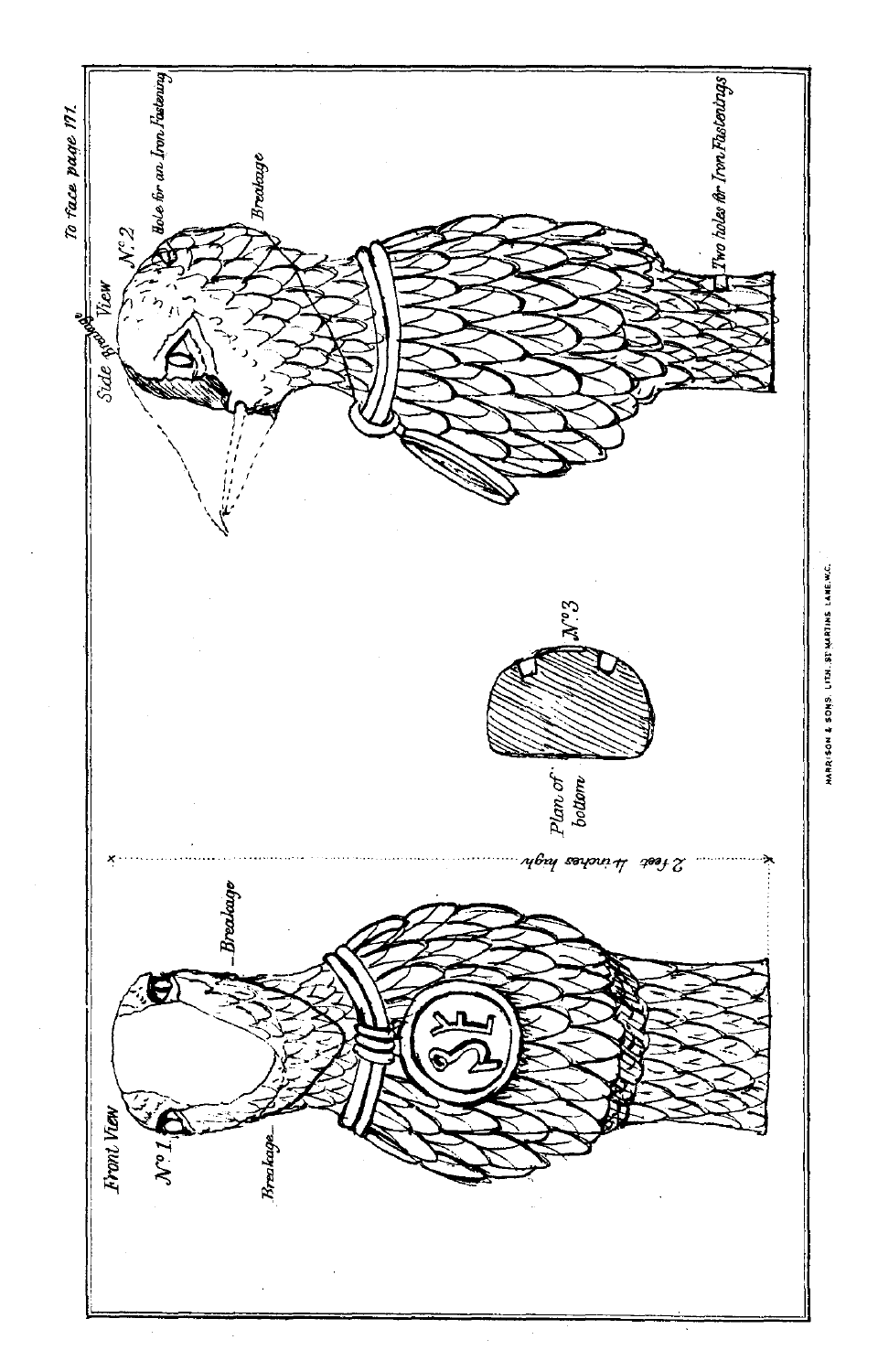